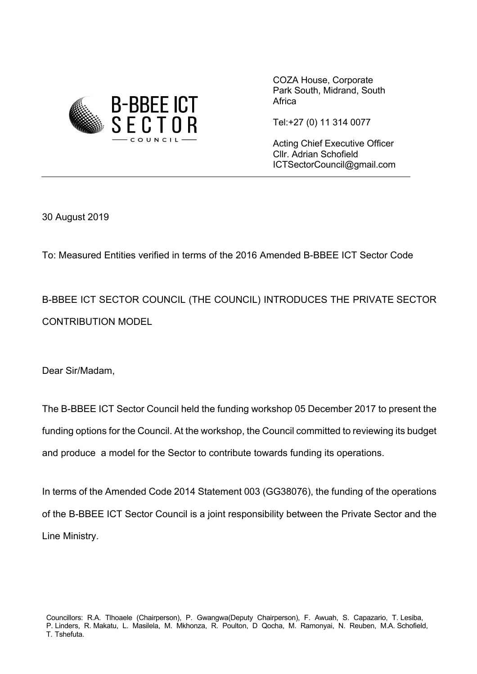

COZA House, Corporate Park South, Midrand, South **Africa** 

Tel:+27 (0) 11 314 0077

Acting Chief Executive Officer Cllr. Adrian Schofield ICTSectorCouncil@gmail.com

30 August 2019

To: Measured Entities verified in terms of the 2016 Amended B-BBEE ICT Sector Code

B-BBEE ICT SECTOR COUNCIL (THE COUNCIL) INTRODUCES THE PRIVATE SECTOR CONTRIBUTION MODEL

Dear Sir/Madam,

The B-BBEE ICT Sector Council held the funding workshop 05 December 2017 to present the funding options for the Council. At the workshop, the Council committed to reviewing its budget and produce a model for the Sector to contribute towards funding its operations.

In terms of the Amended Code 2014 Statement 003 (GG38076), the funding of the operations of the B-BBEE ICT Sector Council is a joint responsibility between the Private Sector and the Line Ministry.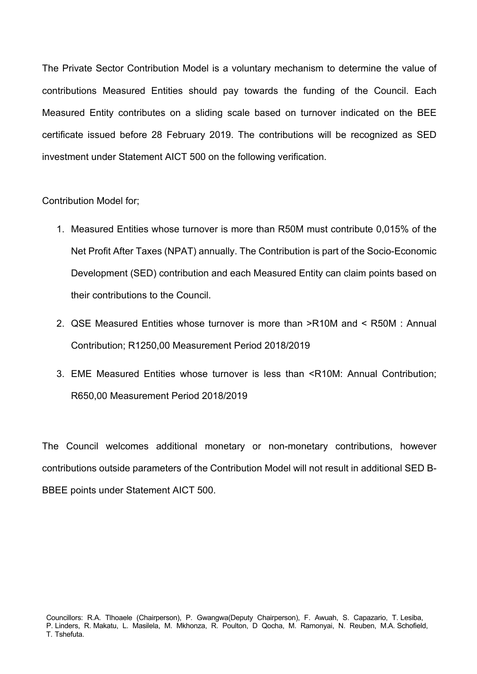The Private Sector Contribution Model is a voluntary mechanism to determine the value of contributions Measured Entities should pay towards the funding of the Council. Each Measured Entity contributes on a sliding scale based on turnover indicated on the BEE certificate issued before 28 February 2019. The contributions will be recognized as SED investment under Statement AICT 500 on the following verification.

Contribution Model for;

- 1. Measured Entities whose turnover is more than R50M must contribute 0,015% of the Net Profit After Taxes (NPAT) annually. The Contribution is part of the Socio-Economic Development (SED) contribution and each Measured Entity can claim points based on their contributions to the Council.
- 2. QSE Measured Entities whose turnover is more than >R10M and < R50M : Annual Contribution; R1250,00 Measurement Period 2018/2019
- 3. EME Measured Entities whose turnover is less than <R10M: Annual Contribution; R650,00 Measurement Period 2018/2019

The Council welcomes additional monetary or non-monetary contributions, however contributions outside parameters of the Contribution Model will not result in additional SED B-BBEE points under Statement AICT 500.